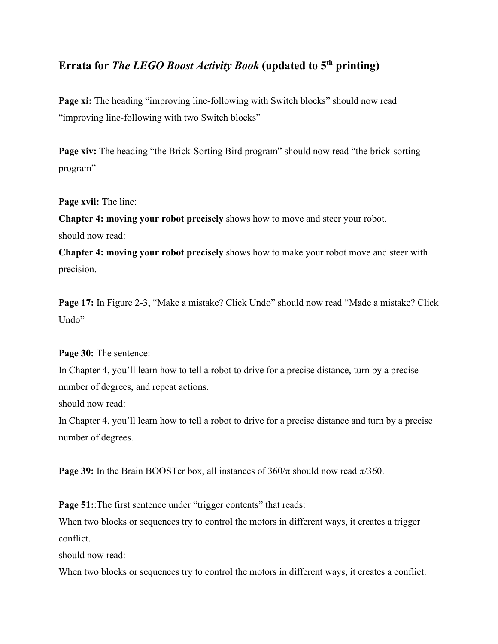## **Errata for** *The LEGO Boost Activity Book* **(updated to 5th printing)**

**Page xi:** The heading "improving line-following with Switch blocks" should now read "improving line-following with two Switch blocks"

**Page xiv:** The heading "the Brick-Sorting Bird program" should now read "the brick-sorting program"

**Page xvii:** The line:

**Chapter 4: moving your robot precisely** shows how to move and steer your robot. should now read:

**Chapter 4: moving your robot precisely** shows how to make your robot move and steer with precision.

**Page 17:** In Figure 2-3, "Make a mistake? Click Undo" should now read "Made a mistake? Click Undo"

#### **Page 30:** The sentence:

In Chapter 4, you'll learn how to tell a robot to drive for a precise distance, turn by a precise number of degrees, and repeat actions.

should now read:

In Chapter 4, you'll learn how to tell a robot to drive for a precise distance and turn by a precise number of degrees.

**Page 39:** In the Brain BOOSTer box, all instances of  $360/\pi$  should now read  $\pi/360$ .

**Page 51::**The first sentence under "trigger contents" that reads:

When two blocks or sequences try to control the motors in different ways, it creates a trigger conflict.

should now read:

When two blocks or sequences try to control the motors in different ways, it creates a conflict.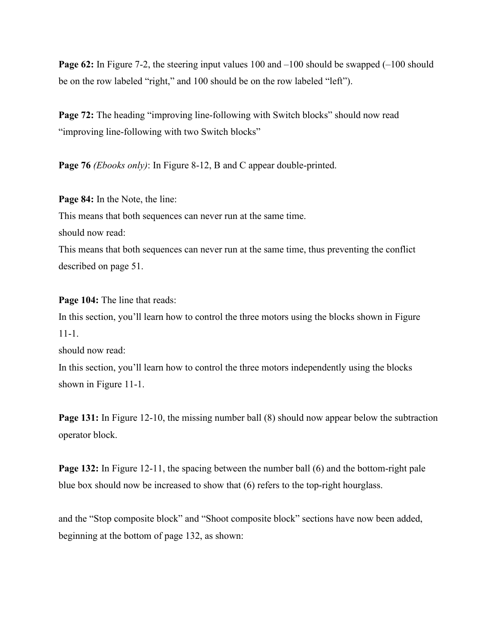**Page 62:** In Figure 7-2, the steering input values 100 and  $-100$  should be swapped (-100 should be on the row labeled "right," and 100 should be on the row labeled "left").

**Page 72:** The heading "improving line-following with Switch blocks" should now read "improving line-following with two Switch blocks"

**Page 76** *(Ebooks only)*: In Figure 8-12, B and C appear double-printed.

**Page 84:** In the Note, the line: This means that both sequences can never run at the same time. should now read: This means that both sequences can never run at the same time, thus preventing the conflict described on page 51.

**Page 104:** The line that reads: In this section, you'll learn how to control the three motors using the blocks shown in Figure 11-1.

should now read:

In this section, you'll learn how to control the three motors independently using the blocks shown in Figure 11-1.

**Page 131:** In Figure 12-10, the missing number ball (8) should now appear below the subtraction operator block.

**Page 132:** In Figure 12-11, the spacing between the number ball (6) and the bottom-right pale blue box should now be increased to show that (6) refers to the top-right hourglass.

and the "Stop composite block" and "Shoot composite block" sections have now been added, beginning at the bottom of page 132, as shown: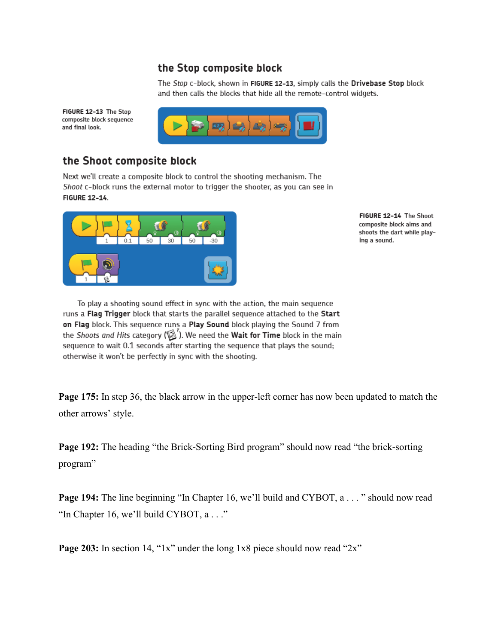### the Stop composite block

The Stop c-block, shown in FIGURE 12-13, simply calls the Drivebase Stop block and then calls the blocks that hide all the remote-control widgets.



# the Shoot composite block

FIGURE 12-13 The Stop composite block sequence

and final look.

Next we'll create a composite block to control the shooting mechanism. The Shoot c-block runs the external motor to trigger the shooter, as you can see in **FIGURE 12-14.** 



FIGURE 12-14 The Shoot composite block aims and shoots the dart while playing a sound.

To play a shooting sound effect in sync with the action, the main sequence runs a Flag Trigger block that starts the parallel sequence attached to the Start on Flag block. This sequence runs a Play Sound block playing the Sound 7 from the Shoots and Hits category ( $\mathbb{Z}$ ). We need the Wait for Time block in the main sequence to wait 0.1 seconds after starting the sequence that plays the sound; otherwise it won't be perfectly in sync with the shooting.

**Page 175:** In step 36, the black arrow in the upper-left corner has now been updated to match the other arrows' style.

**Page 192:** The heading "the Brick-Sorting Bird program" should now read "the brick-sorting program"

**Page 194:** The line beginning "In Chapter 16, we'll build and CYBOT, a . . . " should now read "In Chapter 16, we'll build CYBOT, a . . ."

**Page 203:** In section 14, "1x" under the long 1x8 piece should now read "2x"